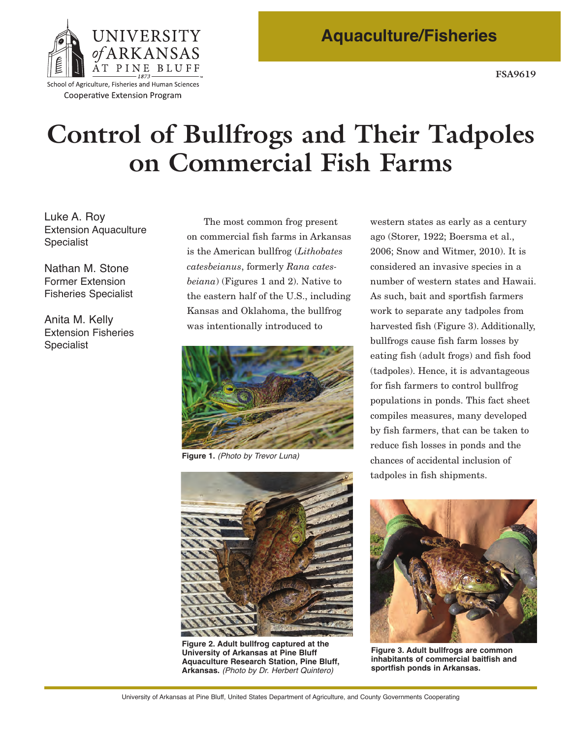

Cooperative Extension Program

# **Control of Bullfrogs and Their Tadpoles on Commercial Fish Farms**

Luke A. Roy Extension Aquaculture Specialist

Nathan M. Stone Former Extension Fisheries Specialist

Anita M. Kelly Extension Fisheries Specialist

The most common frog present on commercial fish farms in Arkansas is the American bullfrog (*Lithobates catesbeianus*, formerly *Rana catesbeiana*) (Figures 1 and 2). Native to the eastern half of the U.S., including Kansas and Oklahoma, the bullfrog was intentionally introduced to



**Figure 1.** *(Photo by Trevor Luna)*



**Figure 2. Adult bullfrog captured at the University of Arkansas at Pine Bluff Aquaculture Research Station, Pine Bluff, Arkansas.** *(Photo by Dr. Herbert Quintero)*

 harvested fish (Figure 3). Additionally, chances of accidental inclusion of western states as early as a century ago (Storer, 1922; Boersma et al., 2006; Snow and Witmer, 2010). It is considered an invasive species in a number of western states and Hawaii. As such, bait and sportfish farmers work to separate any tadpoles from bullfrogs cause fish farm losses by eating fish (adult frogs) and fish food (tadpoles). Hence, it is advantageous for fish farmers to control bullfrog populations in ponds. This fact sheet compiles measures, many developed by fish farmers, that can be taken to reduce fish losses in ponds and the tadpoles in fish shipments.



**Figure 3. Adult bullfrogs are common inhabitants of commercial baitfish and sportfish ponds in Arkansas.**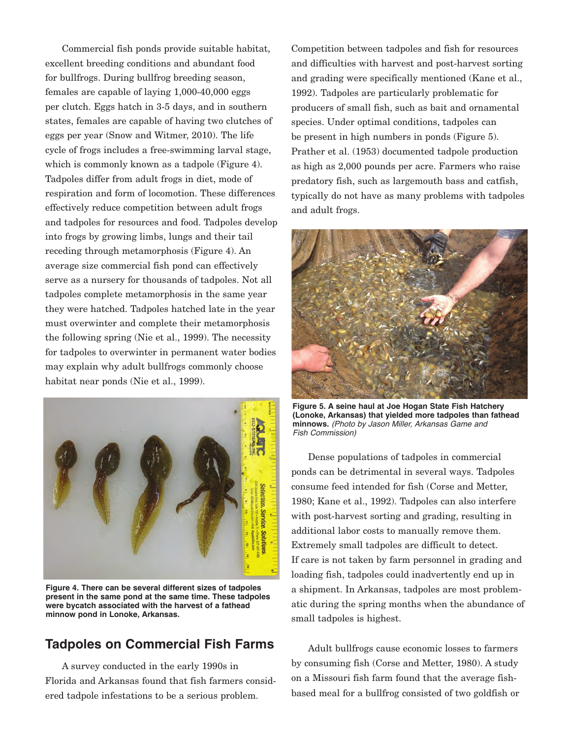Commercial fish ponds provide suitable habitat, excellent breeding conditions and abundant food for bullfrogs. During bullfrog breeding season,  $f$ emales are capable of laying  $1,000-40,000$  eggs per clutch. Eggs hatch in 35 days, and in southern states, females are capable of having two clutches of eggs per year (Snow and Witmer, 2010). The life cycle of frogs includes a free-swimming larval stage, which is commonly known as a tadpole (Figure 4). Tadpoles differ from adult frogs in diet, mode of respiration and form of locomotion. These differences effectively reduce competition between adult frogs and tadpoles for resources and food. Tadpoles develop into frogs by growing limbs, lungs and their tail receding through metamorphosis (Figure 4). An average size commercial fish pond can effectively serve as a nursery for thousands of tadpoles. Not all tadpoles complete metamorphosis in the same year they were hatched. Tadpoles hatched late in the year must overwinter and complete their metamorphosis the following spring (Nie et al., 1999). The necessity for tadpoles to overwinter in permanent water bodies may explain why adult bullfrogs commonly choose habitat near ponds (Nie et al., 1999).



**Figure 4. There can be several different sizes of tadpoles present in the same pond at the same time. These tadpoles were bycatch associated with the harvest of a fathead minnow pond in Lonoke, Arkansas.** 

## **Tadpoles on Commercial Fish Farms**

A survey conducted in the early 1990s in Florida and Arkansas found that fish farmers considered tadpole infestations to be a serious problem.

Competition between tadpoles and fish for resources and difficulties with harvest and post-harvest sorting and grading were specifically mentioned (Kane et al., 1992). Tadpoles are particularly problematic for producers of small fish, such as bait and ornamental species. Under optimal conditions, tadpoles can be present in high numbers in ponds (Figure 5). Prather et al. (1953) documented tadpole production as high as 2,000 pounds per acre. Farmers who raise predatory fish, such as largemouth bass and catfish, typically do not have as many problems with tadpoles and adult frogs.



**Figure 5. A seine haul at Joe Hogan State Fish Hatchery (Lonoke, Arkansas) that yielded more tadpoles than fathead minnows.** *(Photo by Jason Miller, Arkansas Game and Fish Commission)*

Dense populations of tadpoles in commercial ponds can be detrimental in several ways. Tadpoles consume feed intended for fish (Corse and Metter, 1980; Kane et al., 1992). Tadpoles can also interfere with post-harvest sorting and grading, resulting in additional labor costs to manually remove them. Extremely small tadpoles are difficult to detect. If care is not taken by farm personnel in grading and loading fish, tadpoles could inadvertently end up in a shipment. In Arkansas, tadpoles are most problematic during the spring months when the abundance of small tadpoles is highest.

Adult bullfrogs cause economic losses to farmers by consuming fish (Corse and Metter, 1980). A study on a Missouri fish farm found that the average fishbased meal for a bullfrog consisted of two goldfish or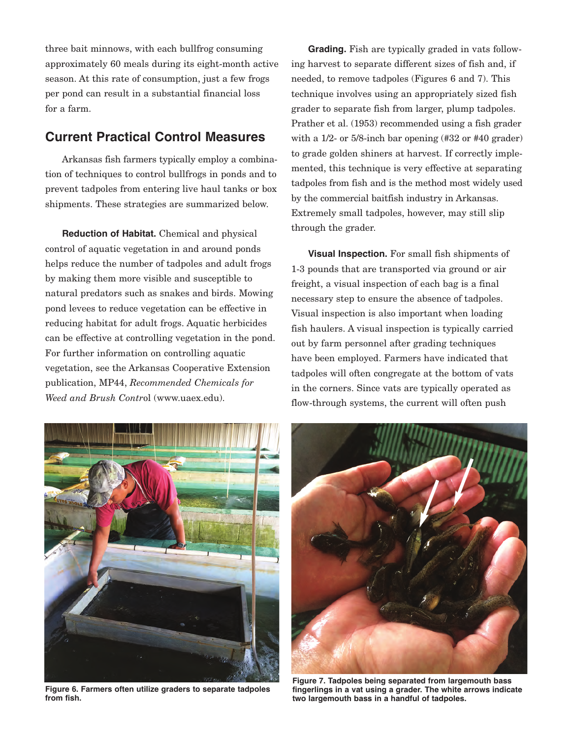three bait minnows, with each bullfrog consuming approximately 60 meals during its eight-month active season. At this rate of consumption, just a few frogs per pond can result in a substantial financial loss for a farm.

## **Current Practical Control Measures**

 Arkansas fish farmers typically employ a combination of techniques to control bullfrogs in ponds and to prevent tadpoles from entering live haul tanks or box shipments. These strategies are summarized below.

**Reduction of Habitat.** Chemical and physical control of aquatic vegetation in and around ponds helps reduce the number of tadpoles and adult frogs by making them more visible and susceptible to natural predators such as snakes and birds. Mowing pond levees to reduce vegetation can be effective in reducing habitat for adult frogs. Aquatic herbicides can be effective at controlling vegetation in the pond. For further information on controlling aquatic vegetation, see the Arkansas Cooperative Extension publication, MP44, *Recommended Chemicals for Weed and Brush Contr*ol (www.uaex.edu).

 Prather et al. (1953) recommended using a fish grader with a 1/2- or 5/8-inch bar opening (#32 or #40 grader) tadpoles from fish and is the method most widely used by the commercial baitfish industry in Arkansas. **Grading.** Fish are typically graded in vats following harvest to separate different sizes of fish and, if needed, to remove tadpoles (Figures 6 and 7). This technique involves using an appropriately sized fish grader to separate fish from larger, plump tadpoles. to grade golden shiners at harvest. If correctly implemented, this technique is very effective at separating Extremely small tadpoles, however, may still slip through the grader.

**Visual Inspection.** For small fish shipments of 13 pounds that are transported via ground or air freight, a visual inspection of each bag is a final necessary step to ensure the absence of tadpoles. Visual inspection is also important when loading fish haulers. A visual inspection is typically carried out by farm personnel after grading techniques have been employed. Farmers have indicated that tadpoles will often congregate at the bottom of vats in the corners. Since vats are typically operated as flow-through systems, the current will often push



**Figure 6. Farmers often utilize graders to separate tadpoles from fish.**



**Figure 7. Tadpoles being separated from largemouth bass fingerlings in a vat using a grader. The white arrows indicate two largemouth bass in a handful of tadpoles.**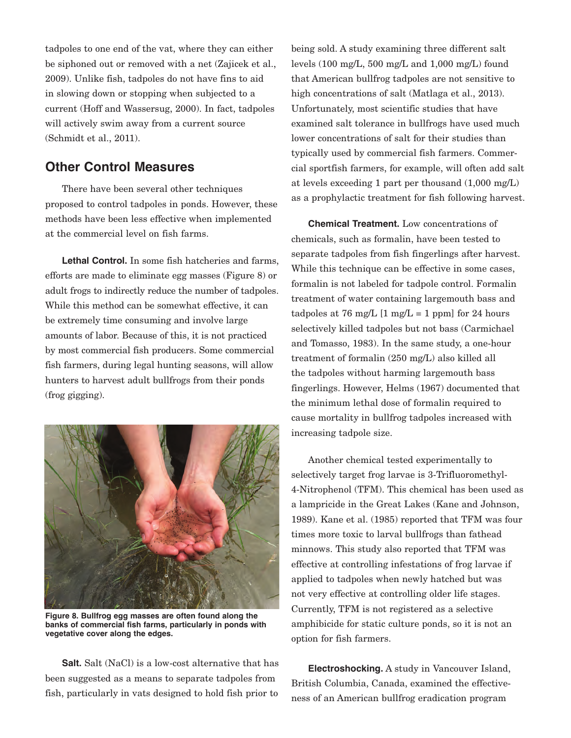tadpoles to one end of the vat, where they can either be siphoned out or removed with a net (Zajicek et al., 2009). Unlike fish, tadpoles do not have fins to aid in slowing down or stopping when subjected to a current (Hoff and Wassersug, 2000). In fact, tadpoles will actively swim away from a current source (Schmidt et al., 2011).

#### **Other Control Measures**

There have been several other techniques proposed to control tadpoles in ponds. However, these methods have been less effective when implemented at the commercial level on fish farms.

 **Lethal Control.** In some fish hatcheries and farms, efforts are made to eliminate egg masses (Figure 8) or adult frogs to indirectly reduce the number of tadpoles. While this method can be somewhat effective, it can be extremely time consuming and involve large amounts of labor. Because of this, it is not practiced by most commercial fish producers. Some commercial fish farmers, during legal hunting seasons, will allow hunters to harvest adult bullfrogs from their ponds (frog gigging).



**Figure 8. Bullfrog egg masses are often found along the banks of commercial fish farms, particularly in ponds with vegetative cover along the edges.** 

**Salt.** Salt (NaCl) is a low-cost alternative that has been suggested as a means to separate tadpoles from fish, particularly in vats designed to hold fish prior to

being sold. A study examining three different salt levels (100 mg/L, 500 mg/L and 1,000 mg/L) found that American bullfrog tadpoles are not sensitive to high concentrations of salt (Matlaga et al., 2013). Unfortunately, most scientific studies that have examined salt tolerance in bullfrogs have used much lower concentrations of salt for their studies than typically used by commercial fish farmers. Commercial sportfish farmers, for example, will often add salt at levels exceeding 1 part per thousand (1,000 mg/L) as a prophylactic treatment for fish following harvest.

tadpoles at 76 mg/L [1 mg/L = 1 ppm] for 24 hours **Chemical Treatment.** Low concentrations of chemicals, such as formalin, have been tested to separate tadpoles from fish fingerlings after harvest. While this technique can be effective in some cases, formalin is not labeled for tadpole control. Formalin treatment of water containing largemouth bass and selectively killed tadpoles but not bass (Carmichael and Tomasso, 1983). In the same study, a one-hour treatment of formalin (250 mg/L) also killed all the tadpoles without harming largemouth bass fingerlings. However, Helms (1967) documented that the minimum lethal dose of formalin required to cause mortality in bullfrog tadpoles increased with increasing tadpole size.

Another chemical tested experimentally to selectively target frog larvae is 3-Trifluoromethyl-4Nitrophenol (TFM). This chemical has been used as a lampricide in the Great Lakes (Kane and Johnson, 1989). Kane et al. (1985) reported that TFM was four times more toxic to larval bullfrogs than fathead minnows. This study also reported that TFM was effective at controlling infestations of frog larvae if applied to tadpoles when newly hatched but was not very effective at controlling older life stages. Currently, TFM is not registered as a selective amphibicide for static culture ponds, so it is not an option for fish farmers.

**Electroshocking.** A study in Vancouver Island, British Columbia, Canada, examined the effectiveness of an American bullfrog eradication program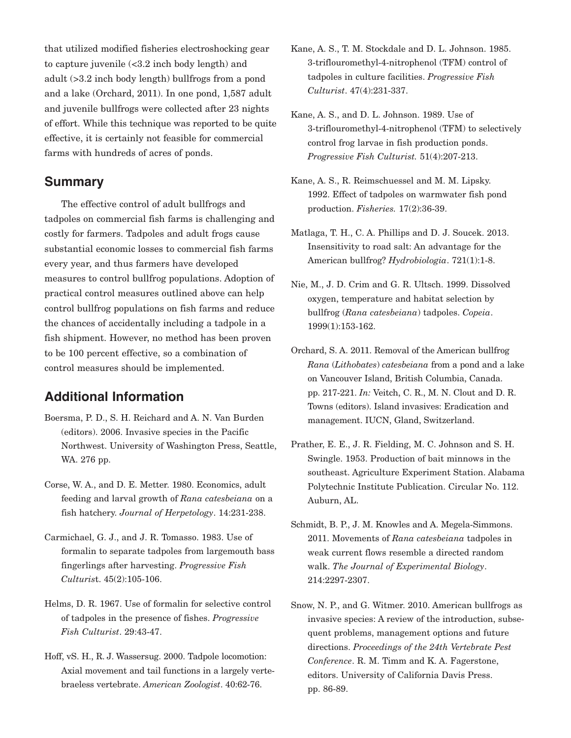of effort. While this technique was reported to be quite that utilized modified fisheries electroshocking gear to capture juvenile (<3.2 inch body length) and adult (>3.2 inch body length) bullfrogs from a pond and a lake (Orchard, 2011). In one pond, 1,587 adult and juvenile bullfrogs were collected after 23 nights effective, it is certainly not feasible for commercial farms with hundreds of acres of ponds.

#### **Summary**

The effective control of adult bullfrogs and tadpoles on commercial fish farms is challenging and costly for farmers. Tadpoles and adult frogs cause substantial economic losses to commercial fish farms every year, and thus farmers have developed measures to control bullfrog populations. Adoption of practical control measures outlined above can help control bullfrog populations on fish farms and reduce the chances of accidentally including a tadpole in a fish shipment. However, no method has been proven to be 100 percent effective, so a combination of control measures should be implemented.

### **Additional Information**

- Boersma, P. D., S. H. Reichard and A. N. Van Burden (editors). 2006. Invasive species in the Pacific Northwest. University of Washington Press, Seattle, WA. 276 pp.
- Corse, W. A., and D. E. Metter. 1980. Economics, adult feeding and larval growth of *Rana catesbeiana* on a fish hatchery. *Journal of Herpetology*. 14:231-238.
- Carmichael, G. J., and J. R. Tomasso. 1983. Use of formalin to separate tadpoles from largemouth bass fingerlings after harvesting. *Progressive Fish Culturist.* 45(2):105-106.
- Helms, D. R. 1967. Use of formalin for selective control of tadpoles in the presence of fishes. *Progressive Fish Culturist.* 29:43-47.
- Hoff, vS. H., R. J. Wassersug. 2000. Tadpole locomotion: Axial movement and tail functions in a largely verte-braeless vertebrate. *American Zoologist*. 40:6276.
- Kane, A. S., T. M. Stockdale and D. L. Johnson. 1985. 3-triflouromethyl-4-nitrophenol (TFM) control of tadpoles in culture facilities. *Progressive Fish Culturist.* 47(4):231-337.
- Kane, A. S., and D. L. Johnson. 1989. Use of 3-triflouromethyl-4-nitrophenol (TFM) to selectively control frog larvae in fish production ponds. *Progressive Fish Culturist.* 51(4):207-213.
- Kane, A. S., R. Reimschuessel and M. M. Lipsky. 1992. Effect of tadpoles on warmwater fish pond production. *Fisheries*. 17(2):36-39.
- Matlaga, T. H., C. A. Phillips and D. J. Soucek. 2013. Insensitivity to road salt: An advantage for the American bullfrog? *Hydrobiologia*. 721(1):1-8.
- Nie, M., J. D. Crim and G. R. Ultsch. 1999. Dissolved oxygen, temperature and habitat selection by bullfrog (*Rana catesbeiana*) tadpoles. *Copeia*. 1999(1):153-162.
- Orchard, S. A. 2011. Removal of the American bullfrog *Rana* (*Lithobates*) *catesbeiana* from a pond and a lake on Vancouver Island, British Columbia, Canada. pp. 217221. *In:* Veitch, C. R., M. N. Clout and D. R. Towns (editors). Island invasives: Eradication and management. IUCN, Gland, Switzerland.
- Prather, E. E., J. R. Fielding, M. C. Johnson and S. H. Swingle. 1953. Production of bait minnows in the southeast. Agriculture Experiment Station. Alabama Polytechnic Institute Publication. Circular No. 112. Auburn, AL.
- Schmidt, B. P., J. M. Knowles and A. Megela-Simmons. 2011. Movements of *Rana catesbeiana* tadpoles in weak current flows resemble a directed random walk. *The Journal of Experimental Biology*. 214:2297-2307.
- Snow, N. P., and G. Witmer. 2010. American bullfrogs as invasive species: A review of the introduction, subsequent problems, management options and future directions. *Proceedings of the 24th Vertebrate Pest Conference*. R. M. Timm and K. A. Fagerstone, editors. University of California Davis Press. pp. 86-89.